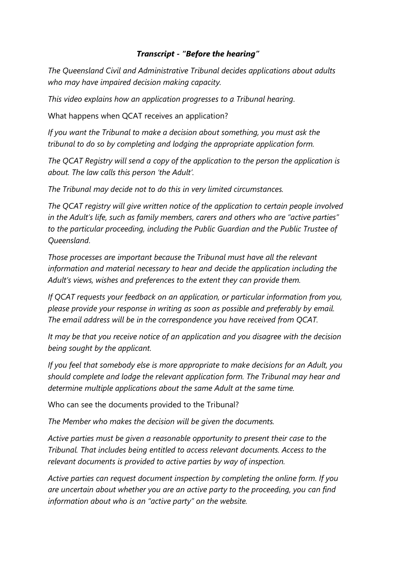## *Transcript - "Before the hearing"*

*The Queensland Civil and Administrative Tribunal decides applications about adults who may have impaired decision making capacity.*

*This video explains how an application progresses to a Tribunal hearing.*

What happens when QCAT receives an application?

*If you want the Tribunal to make a decision about something, you must ask the tribunal to do so by completing and lodging the appropriate application form.*

*The QCAT Registry will send a copy of the application to the person the application is about. The law calls this person 'the Adult'.*

*The Tribunal may decide not to do this in very limited circumstances.*

*The QCAT registry will give written notice of the application to certain people involved in the Adult's life, such as family members, carers and others who are "active parties" to the particular proceeding, including the Public Guardian and the Public Trustee of Queensland.*

*Those processes are important because the Tribunal must have all the relevant information and material necessary to hear and decide the application including the Adult's views, wishes and preferences to the extent they can provide them.*

*If QCAT requests your feedback on an application, or particular information from you, please provide your response in writing as soon as possible and preferably by email. The email address will be in the correspondence you have received from QCAT.*

*It may be that you receive notice of an application and you disagree with the decision being sought by the applicant.*

*If you feel that somebody else is more appropriate to make decisions for an Adult, you should complete and lodge the relevant application form. The Tribunal may hear and determine multiple applications about the same Adult at the same time.*

Who can see the documents provided to the Tribunal?

*The Member who makes the decision will be given the documents.*

*Active parties must be given a reasonable opportunity to present their case to the Tribunal. That includes being entitled to access relevant documents. Access to the relevant documents is provided to active parties by way of inspection.*

*Active parties can request document inspection by completing the online form. If you are uncertain about whether you are an active party to the proceeding, you can find information about who is an "active party" on the website.*